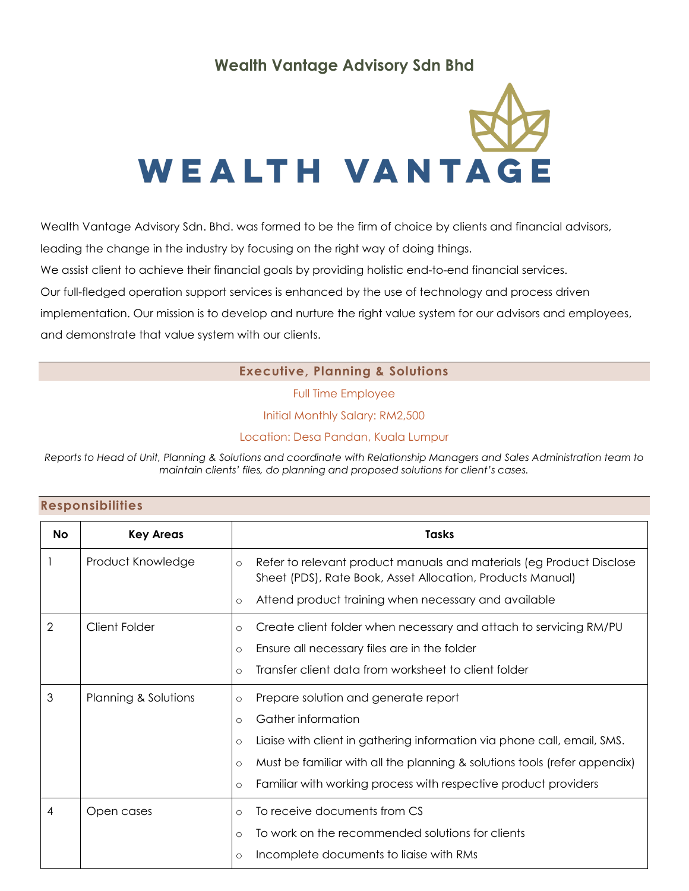# **Wealth Vantage Advisory Sdn Bhd**



Wealth Vantage Advisory Sdn. Bhd. was formed to be the firm of choice by clients and financial advisors, leading the change in the industry by focusing on the right way of doing things.

We assist client to achieve their financial goals by providing holistic end-to-end financial services.

Our full-fledged operation support services is enhanced by the use of technology and process driven

implementation. Our mission is to develop and nurture the right value system for our advisors and employees, and demonstrate that value system with our clients.

### **Executive, Planning & Solutions**

Full Time Employee

Initial Monthly Salary: RM2,500

Location: Desa Pandan, Kuala Lumpur

*Reports to Head of Unit, Planning & Solutions and coordinate with Relationship Managers and Sales Administration team to maintain clients' files, do planning and proposed solutions for client's cases.*

| <b>Responsibilities</b> |  |  |  |  |  |
|-------------------------|--|--|--|--|--|
|-------------------------|--|--|--|--|--|

| <b>No</b> | <b>Key Areas</b>     | Tasks                                                                                                                                                                                                            |
|-----------|----------------------|------------------------------------------------------------------------------------------------------------------------------------------------------------------------------------------------------------------|
|           | Product Knowledge    | Refer to relevant product manuals and materials (eg Product Disclose<br>$\circ$<br>Sheet (PDS), Rate Book, Asset Allocation, Products Manual)<br>Attend product training when necessary and available<br>$\circ$ |
| 2         | <b>Client Folder</b> | Create client folder when necessary and attach to servicing RM/PU<br>$\circ$                                                                                                                                     |
|           |                      | Ensure all necessary files are in the folder<br>$\circ$                                                                                                                                                          |
|           |                      | Transfer client data from worksheet to client folder<br>$\circ$                                                                                                                                                  |
| 3         | Planning & Solutions | Prepare solution and generate report<br>$\circ$                                                                                                                                                                  |
|           |                      | Gather information<br>$\circ$                                                                                                                                                                                    |
|           |                      | Liaise with client in gathering information via phone call, email, SMS.<br>$\circ$                                                                                                                               |
|           |                      | Must be familiar with all the planning & solutions tools (refer appendix)<br>$\circ$                                                                                                                             |
|           |                      | Familiar with working process with respective product providers<br>$\circ$                                                                                                                                       |
| 4         | Open cases           | To receive documents from CS<br>$\circ$                                                                                                                                                                          |
|           |                      | To work on the recommended solutions for clients<br>$\circ$                                                                                                                                                      |
|           |                      | Incomplete documents to liaise with RMs<br>O                                                                                                                                                                     |